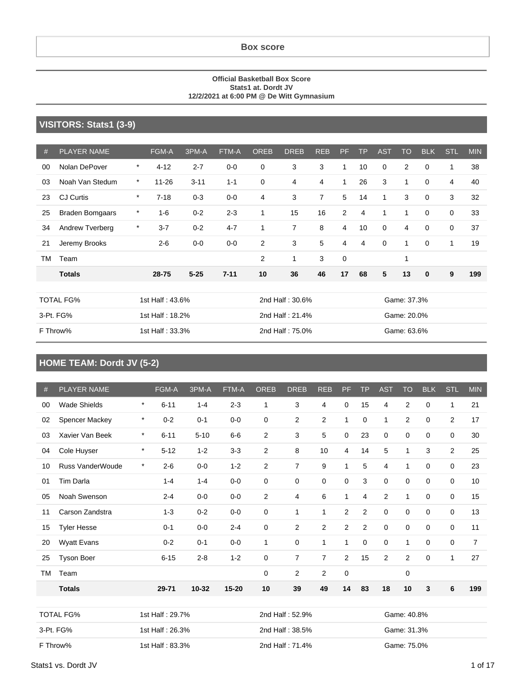**Box score**

#### **Official Basketball Box Score Stats1 at. Dordt JV 12/2/2021 at 6:00 PM @ De Witt Gymnasium**

#### **VISITORS: Stats1 (3-9)**

| #         | <b>PLAYER NAME</b>     |         | <b>FGM-A</b>    | 3PM-A    | FTM-A    | <b>OREB</b>    | <b>DREB</b>     | <b>REB</b>     | <b>PF</b>      | <b>TP</b> | <b>AST</b>  | <b>TO</b>   | <b>BLK</b>  | STL | <b>MIN</b> |
|-----------|------------------------|---------|-----------------|----------|----------|----------------|-----------------|----------------|----------------|-----------|-------------|-------------|-------------|-----|------------|
| 00        | Nolan DePover          | $\star$ | $4 - 12$        | $2 - 7$  | $0-0$    | $\mathbf 0$    | 3               | 3              | 1              | 10        | 0           | 2           | 0           | 1   | 38         |
| 03        | Noah Van Stedum        | $\star$ | $11 - 26$       | $3 - 11$ | $1 - 1$  | $\mathbf 0$    | 4               | $\overline{4}$ | 1              | 26        | 3           | 1           | $\mathbf 0$ | 4   | 40         |
| 23        | <b>CJ Curtis</b>       | *       | $7 - 18$        | $0 - 3$  | $0-0$    | $\overline{4}$ | 3               | $\overline{7}$ | 5              | 14        | 1           | 3           | $\mathbf 0$ | 3   | 32         |
| 25        | <b>Braden Bomgaars</b> | *       | $1 - 6$         | $0 - 2$  | $2 - 3$  | 1              | 15              | 16             | $\overline{2}$ | 4         | 1           | 1           | $\mathbf 0$ | 0   | 33         |
| 34        | <b>Andrew Tverberg</b> | *       | $3 - 7$         | $0 - 2$  | $4 - 7$  | 1              | $\overline{7}$  | 8              | $\overline{4}$ | 10        | 0           | 4           | 0           | 0   | 37         |
| 21        | Jeremy Brooks          |         | $2 - 6$         | $0-0$    | $0-0$    | 2              | 3               | 5              | 4              | 4         | $\mathbf 0$ | 1           | 0           | 1   | 19         |
| <b>TM</b> | Team                   |         |                 |          |          | $\overline{2}$ | 1               | 3              | $\mathbf 0$    |           |             | 1           |             |     |            |
|           | <b>Totals</b>          |         | 28-75           | $5 - 25$ | $7 - 11$ | 10             | 36              | 46             | 17             | 68        | 5           | 13          | $\bf{0}$    | 9   | 199        |
|           |                        |         |                 |          |          |                |                 |                |                |           |             |             |             |     |            |
|           | <b>TOTAL FG%</b>       |         | 1st Half: 43.6% |          |          |                | 2nd Half: 30.6% |                |                |           |             | Game: 37.3% |             |     |            |
|           | 3-Pt. FG%              |         | 1st Half: 18.2% |          |          |                | 2nd Half: 21.4% |                |                |           | Game: 20.0% |             |             |     |            |
|           | F Throw%               |         | 1st Half: 33.3% |          |          |                | 2nd Half: 75.0% |                |                |           |             | Game: 63.6% |             |     |            |

#### **HOME TEAM: Dordt JV (5-2)**

| #  | <b>PLAYER NAME</b>      |         | FGM-A           | 3PM-A     | FTM-A     | <b>OREB</b>     | <b>DREB</b>     | <b>REB</b>     | PF             | <b>TP</b>      | <b>AST</b>     | <b>TO</b>      | <b>BLK</b>  | <b>STL</b>  | <b>MIN</b> |
|----|-------------------------|---------|-----------------|-----------|-----------|-----------------|-----------------|----------------|----------------|----------------|----------------|----------------|-------------|-------------|------------|
| 00 | <b>Wade Shields</b>     | $\star$ | $6 - 11$        | $1 - 4$   | $2 - 3$   | 1               | 3               | 4              | 0              | 15             | 4              | 2              | 0           | 1           | 21         |
| 02 | Spencer Mackey          | $\star$ | $0 - 2$         | $0 - 1$   | $0 - 0$   | 0               | $\overline{2}$  | 2              | 1              | $\mathbf 0$    | $\mathbf{1}$   | 2              | 0           | 2           | 17         |
| 03 | Xavier Van Beek         | $\star$ | $6 - 11$        | $5 - 10$  | $6-6$     | $\overline{c}$  | 3               | 5              | 0              | 23             | 0              | 0              | 0           | 0           | 30         |
|    |                         |         |                 |           |           |                 |                 |                |                |                |                |                |             |             |            |
| 04 | Cole Huyser             | $\star$ | $5 - 12$        | $1 - 2$   | $3 - 3$   | 2               | 8               | 10             | $\overline{4}$ | 14             | 5              | 1              | 3           | 2           | 25         |
| 10 | <b>Russ VanderWoude</b> | $\star$ | $2 - 6$         | $0-0$     | $1 - 2$   | $\overline{2}$  | $\overline{7}$  | 9              | $\mathbf{1}$   | 5              | 4              | $\mathbf{1}$   | 0           | 0           | 23         |
| 01 | <b>Tim Darla</b>        |         | $1 - 4$         | $1 - 4$   | $0 - 0$   | 0               | $\mathbf 0$     | 0              | 0              | 3              | 0              | $\mathbf 0$    | $\mathbf 0$ | $\mathbf 0$ | 10         |
| 05 | Noah Swenson            |         | $2 - 4$         | $0-0$     | $0 - 0$   | $\overline{2}$  | $\overline{4}$  | 6              | $\mathbf{1}$   | $\overline{4}$ | $\overline{2}$ | 1              | 0           | $\mathbf 0$ | 15         |
| 11 | Carson Zandstra         |         | $1 - 3$         | $0 - 2$   | $0-0$     | 0               | 1               | $\mathbf{1}$   | $\overline{2}$ | 2              | 0              | 0              | 0           | $\mathbf 0$ | 13         |
| 15 | <b>Tyler Hesse</b>      |         | $0 - 1$         | $0 - 0$   | $2 - 4$   | 0               | 2               | 2              | 2              | 2              | $\mathbf 0$    | $\mathbf 0$    | 0           | $\mathbf 0$ | 11         |
| 20 | Wyatt Evans             |         | $0 - 2$         | $0 - 1$   | $0 - 0$   | $\mathbf{1}$    | $\mathbf 0$     | $\mathbf{1}$   | $\mathbf{1}$   | 0              | 0              | 1              | 0           | $\mathbf 0$ | 7          |
| 25 | <b>Tyson Boer</b>       |         | $6 - 15$        | $2 - 8$   | $1 - 2$   | 0               | 7               | $\overline{7}$ | $\overline{2}$ | 15             | $\overline{2}$ | $\overline{c}$ | $\Omega$    | 1           | 27         |
| ТM | Team                    |         |                 |           |           | 0               | $\overline{2}$  | 2              | 0              |                |                | $\mathbf 0$    |             |             |            |
|    | <b>Totals</b>           |         | 29-71           | $10 - 32$ | $15 - 20$ | 10              | 39              | 49             | 14             | 83             | 18             | 10             | 3           | 6           | 199        |
|    |                         |         |                 |           |           |                 |                 |                |                |                |                |                |             |             |            |
|    | <b>TOTAL FG%</b>        |         | 1st Half: 29.7% |           |           | 2nd Half: 52.9% |                 |                |                | Game: 40.8%    |                |                |             |             |            |
|    | 3-Pt. FG%               |         | 1st Half: 26.3% |           |           |                 | 2nd Half: 38.5% |                |                |                | Game: 31.3%    |                |             |             |            |
|    | F Throw%                |         | 1st Half: 83.3% |           |           |                 | 2nd Half: 71.4% |                |                |                |                | Game: 75.0%    |             |             |            |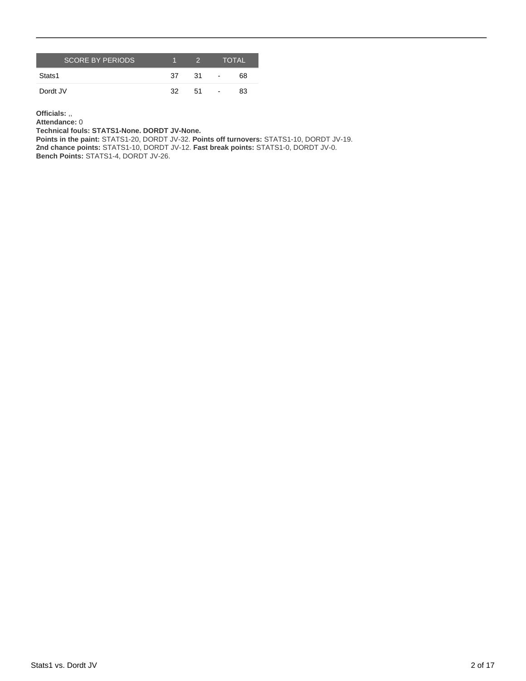| <b>SCORE BY PERIODS</b> |    |     |                | <b>TOTAL</b> |
|-------------------------|----|-----|----------------|--------------|
| Stats1                  | 37 | .31 | $\blacksquare$ | 68           |
| Dordt JV                | 32 | 51  | $\blacksquare$ | 83           |

**Officials:** ,,

**Attendance:** 0 **Technical fouls: STATS1-None. DORDT JV-None.**

**Points in the paint:** STATS1-20, DORDT JV-32. **Points off turnovers:** STATS1-10, DORDT JV-19. **2nd chance points:** STATS1-10, DORDT JV-12. **Fast break points:** STATS1-0, DORDT JV-0. **Bench Points:** STATS1-4, DORDT JV-26.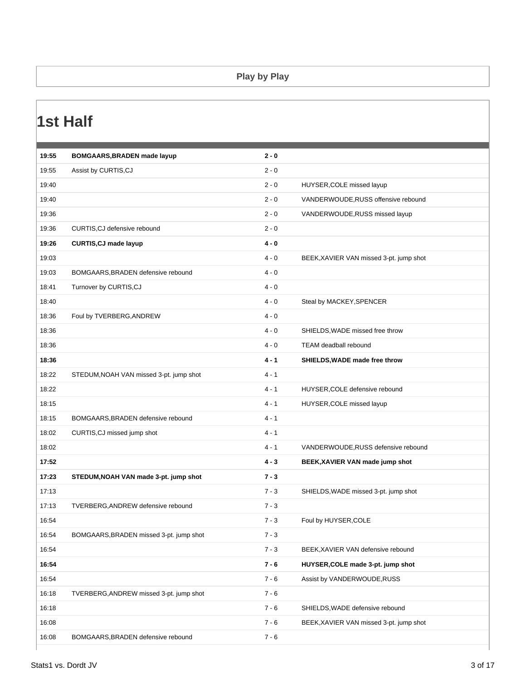#### **Play by Play**

### **1st Half**

| 19:55 | <b>BOMGAARS, BRADEN made layup</b>      | $2 - 0$ |                                         |
|-------|-----------------------------------------|---------|-----------------------------------------|
| 19:55 | Assist by CURTIS, CJ                    | $2 - 0$ |                                         |
| 19:40 |                                         | $2 - 0$ | HUYSER, COLE missed layup               |
| 19:40 |                                         | $2 - 0$ | VANDERWOUDE, RUSS offensive rebound     |
| 19:36 |                                         | $2 - 0$ | VANDERWOUDE, RUSS missed layup          |
| 19:36 | CURTIS, CJ defensive rebound            | $2 - 0$ |                                         |
| 19:26 | <b>CURTIS, CJ made layup</b>            | $4 - 0$ |                                         |
| 19:03 |                                         | $4 - 0$ | BEEK, XAVIER VAN missed 3-pt. jump shot |
| 19:03 | BOMGAARS, BRADEN defensive rebound      | $4 - 0$ |                                         |
| 18:41 | Turnover by CURTIS, CJ                  | $4 - 0$ |                                         |
| 18:40 |                                         | $4 - 0$ | Steal by MACKEY, SPENCER                |
| 18:36 | Foul by TVERBERG, ANDREW                | $4 - 0$ |                                         |
| 18:36 |                                         | $4 - 0$ | SHIELDS, WADE missed free throw         |
| 18:36 |                                         | $4 - 0$ | TEAM deadball rebound                   |
| 18:36 |                                         | $4 - 1$ | SHIELDS, WADE made free throw           |
| 18:22 | STEDUM, NOAH VAN missed 3-pt. jump shot | $4 - 1$ |                                         |
| 18:22 |                                         | $4 - 1$ | HUYSER, COLE defensive rebound          |
| 18:15 |                                         | $4 - 1$ | HUYSER, COLE missed layup               |
| 18:15 | BOMGAARS, BRADEN defensive rebound      | $4 - 1$ |                                         |
| 18:02 | CURTIS, CJ missed jump shot             | $4 - 1$ |                                         |
| 18:02 |                                         | $4 - 1$ | VANDERWOUDE, RUSS defensive rebound     |
| 17:52 |                                         | $4 - 3$ | BEEK, XAVIER VAN made jump shot         |
| 17:23 | STEDUM, NOAH VAN made 3-pt. jump shot   | $7 - 3$ |                                         |
| 17:13 |                                         | $7 - 3$ | SHIELDS, WADE missed 3-pt. jump shot    |
| 17:13 | TVERBERG, ANDREW defensive rebound      | $7 - 3$ |                                         |
| 16:54 |                                         | $7 - 3$ | Foul by HUYSER, COLE                    |
| 16:54 | BOMGAARS, BRADEN missed 3-pt. jump shot | $7 - 3$ |                                         |
| 16:54 |                                         | $7 - 3$ | BEEK, XAVIER VAN defensive rebound      |
| 16:54 |                                         | $7 - 6$ | HUYSER, COLE made 3-pt. jump shot       |
| 16:54 |                                         | $7 - 6$ | Assist by VANDERWOUDE, RUSS             |
| 16:18 | TVERBERG, ANDREW missed 3-pt. jump shot | $7 - 6$ |                                         |
| 16:18 |                                         | $7 - 6$ | SHIELDS, WADE defensive rebound         |
| 16:08 |                                         | $7 - 6$ | BEEK, XAVIER VAN missed 3-pt. jump shot |
|       |                                         |         |                                         |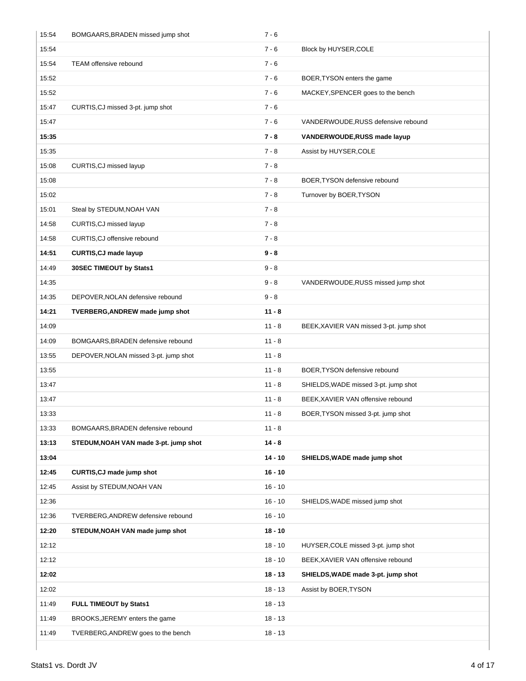| 15:54 | BOMGAARS, BRADEN missed jump shot     | $7 - 6$   |                                         |
|-------|---------------------------------------|-----------|-----------------------------------------|
| 15:54 |                                       | $7 - 6$   | Block by HUYSER, COLE                   |
| 15:54 | TEAM offensive rebound                | $7 - 6$   |                                         |
| 15:52 |                                       | $7 - 6$   | BOER, TYSON enters the game             |
| 15:52 |                                       | $7 - 6$   | MACKEY, SPENCER goes to the bench       |
| 15:47 | CURTIS, CJ missed 3-pt. jump shot     | $7 - 6$   |                                         |
| 15:47 |                                       | $7 - 6$   | VANDERWOUDE, RUSS defensive rebound     |
| 15:35 |                                       | $7 - 8$   | <b>VANDERWOUDE, RUSS made layup</b>     |
| 15:35 |                                       | $7 - 8$   | Assist by HUYSER, COLE                  |
| 15:08 | CURTIS, CJ missed layup               | $7 - 8$   |                                         |
| 15:08 |                                       | $7 - 8$   | BOER, TYSON defensive rebound           |
| 15:02 |                                       | $7 - 8$   | Turnover by BOER, TYSON                 |
| 15:01 | Steal by STEDUM, NOAH VAN             | $7 - 8$   |                                         |
| 14:58 | CURTIS, CJ missed layup               | $7 - 8$   |                                         |
| 14:58 | CURTIS, CJ offensive rebound          | $7 - 8$   |                                         |
| 14:51 | <b>CURTIS, CJ made layup</b>          | $9 - 8$   |                                         |
| 14:49 | 30SEC TIMEOUT by Stats1               | $9 - 8$   |                                         |
| 14:35 |                                       | $9 - 8$   | VANDERWOUDE, RUSS missed jump shot      |
| 14:35 | DEPOVER, NOLAN defensive rebound      | $9 - 8$   |                                         |
| 14:21 | TVERBERG, ANDREW made jump shot       | $11 - 8$  |                                         |
| 14:09 |                                       | $11 - 8$  | BEEK, XAVIER VAN missed 3-pt. jump shot |
| 14:09 | BOMGAARS, BRADEN defensive rebound    | $11 - 8$  |                                         |
| 13:55 | DEPOVER, NOLAN missed 3-pt. jump shot | $11 - 8$  |                                         |
| 13:55 |                                       | $11 - 8$  | BOER, TYSON defensive rebound           |
| 13:47 |                                       | $11 - 8$  | SHIELDS, WADE missed 3-pt. jump shot    |
| 13:47 |                                       | $11 - 8$  | BEEK, XAVIER VAN offensive rebound      |
| 13:33 |                                       | $11 - 8$  | BOER, TYSON missed 3-pt. jump shot      |
| 13:33 | BOMGAARS, BRADEN defensive rebound    | $11 - 8$  |                                         |
| 13:13 | STEDUM, NOAH VAN made 3-pt. jump shot | $14 - 8$  |                                         |
| 13:04 |                                       | $14 - 10$ | SHIELDS, WADE made jump shot            |
| 12:45 | <b>CURTIS, CJ made jump shot</b>      | $16 - 10$ |                                         |
| 12:45 | Assist by STEDUM, NOAH VAN            | $16 - 10$ |                                         |
| 12:36 |                                       | $16 - 10$ | SHIELDS, WADE missed jump shot          |
| 12:36 | TVERBERG, ANDREW defensive rebound    | $16 - 10$ |                                         |
| 12:20 | STEDUM, NOAH VAN made jump shot       | $18 - 10$ |                                         |
| 12:12 |                                       | $18 - 10$ | HUYSER, COLE missed 3-pt. jump shot     |
| 12:12 |                                       | $18 - 10$ | BEEK, XAVIER VAN offensive rebound      |
| 12:02 |                                       | $18 - 13$ | SHIELDS, WADE made 3-pt. jump shot      |
| 12:02 |                                       | $18 - 13$ | Assist by BOER, TYSON                   |
| 11:49 | FULL TIMEOUT by Stats1                | $18 - 13$ |                                         |
| 11:49 | BROOKS, JEREMY enters the game        | $18 - 13$ |                                         |
| 11:49 | TVERBERG, ANDREW goes to the bench    | $18 - 13$ |                                         |
|       |                                       |           |                                         |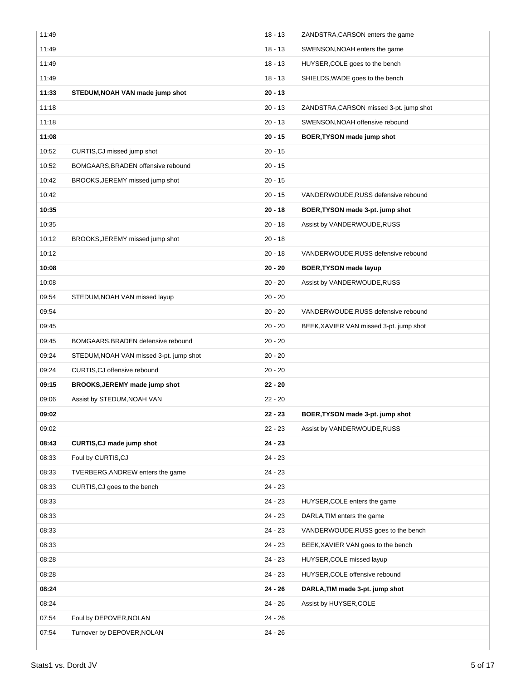| 11:49 |                                         | $18 - 13$ | ZANDSTRA, CARSON enters the game        |
|-------|-----------------------------------------|-----------|-----------------------------------------|
| 11:49 |                                         | $18 - 13$ | SWENSON, NOAH enters the game           |
| 11:49 |                                         | $18 - 13$ | HUYSER, COLE goes to the bench          |
| 11:49 |                                         | $18 - 13$ | SHIELDS, WADE goes to the bench         |
| 11:33 | STEDUM, NOAH VAN made jump shot         | $20 - 13$ |                                         |
| 11:18 |                                         | $20 - 13$ | ZANDSTRA, CARSON missed 3-pt. jump shot |
| 11:18 |                                         | $20 - 13$ | SWENSON, NOAH offensive rebound         |
| 11:08 |                                         | $20 - 15$ | BOER, TYSON made jump shot              |
| 10:52 | CURTIS, CJ missed jump shot             | $20 - 15$ |                                         |
| 10:52 | BOMGAARS, BRADEN offensive rebound      | $20 - 15$ |                                         |
| 10:42 | BROOKS, JEREMY missed jump shot         | $20 - 15$ |                                         |
| 10:42 |                                         | $20 - 15$ | VANDERWOUDE, RUSS defensive rebound     |
| 10:35 |                                         | $20 - 18$ | BOER, TYSON made 3-pt. jump shot        |
| 10:35 |                                         | $20 - 18$ | Assist by VANDERWOUDE, RUSS             |
| 10:12 | BROOKS, JEREMY missed jump shot         | $20 - 18$ |                                         |
| 10:12 |                                         | $20 - 18$ | VANDERWOUDE, RUSS defensive rebound     |
| 10:08 |                                         | $20 - 20$ | <b>BOER, TYSON made layup</b>           |
| 10:08 |                                         | $20 - 20$ | Assist by VANDERWOUDE, RUSS             |
| 09:54 | STEDUM, NOAH VAN missed layup           | $20 - 20$ |                                         |
| 09:54 |                                         | $20 - 20$ | VANDERWOUDE, RUSS defensive rebound     |
| 09:45 |                                         | $20 - 20$ | BEEK, XAVIER VAN missed 3-pt. jump shot |
| 09:45 | BOMGAARS, BRADEN defensive rebound      | $20 - 20$ |                                         |
| 09:24 | STEDUM, NOAH VAN missed 3-pt. jump shot | $20 - 20$ |                                         |
| 09:24 | CURTIS, CJ offensive rebound            | $20 - 20$ |                                         |
| 09:15 | BROOKS, JEREMY made jump shot           | $22 - 20$ |                                         |
| 09:06 | Assist by STEDUM, NOAH VAN              | $22 - 20$ |                                         |
| 09:02 |                                         | $22 - 23$ | BOER, TYSON made 3-pt. jump shot        |
| 09:02 |                                         | 22 - 23   | Assist by VANDERWOUDE, RUSS             |
| 08:43 | CURTIS, CJ made jump shot               |           |                                         |
| 08:33 |                                         | 24 - 23   |                                         |
|       | Foul by CURTIS, CJ                      | $24 - 23$ |                                         |
| 08:33 | TVERBERG, ANDREW enters the game        | 24 - 23   |                                         |
| 08:33 | CURTIS, CJ goes to the bench            | 24 - 23   |                                         |
| 08:33 |                                         | 24 - 23   | HUYSER, COLE enters the game            |
| 08:33 |                                         | $24 - 23$ | DARLA, TIM enters the game              |
| 08:33 |                                         | $24 - 23$ | VANDERWOUDE, RUSS goes to the bench     |
| 08:33 |                                         | 24 - 23   | BEEK, XAVIER VAN goes to the bench      |
| 08:28 |                                         | 24 - 23   | HUYSER, COLE missed layup               |
| 08:28 |                                         | $24 - 23$ | HUYSER, COLE offensive rebound          |
| 08:24 |                                         | 24 - 26   | DARLA, TIM made 3-pt. jump shot         |
| 08:24 |                                         | 24 - 26   | Assist by HUYSER, COLE                  |
| 07:54 | Foul by DEPOVER, NOLAN                  | 24 - 26   |                                         |
| 07:54 | Turnover by DEPOVER, NOLAN              | 24 - 26   |                                         |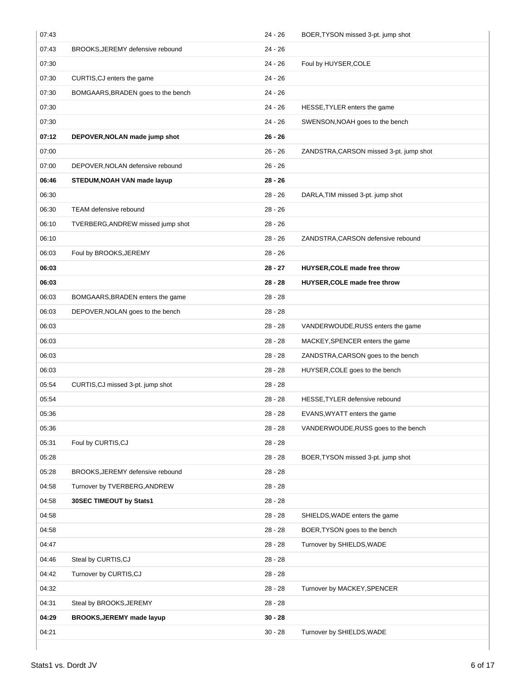| 07:43 |                                    | $24 - 26$ | BOER, TYSON missed 3-pt. jump shot      |
|-------|------------------------------------|-----------|-----------------------------------------|
| 07:43 | BROOKS, JEREMY defensive rebound   | $24 - 26$ |                                         |
| 07:30 |                                    | 24 - 26   | Foul by HUYSER, COLE                    |
| 07:30 | CURTIS, CJ enters the game         | 24 - 26   |                                         |
| 07:30 | BOMGAARS, BRADEN goes to the bench | $24 - 26$ |                                         |
| 07:30 |                                    | 24 - 26   | HESSE, TYLER enters the game            |
| 07:30 |                                    | 24 - 26   | SWENSON, NOAH goes to the bench         |
| 07:12 | DEPOVER, NOLAN made jump shot      | $26 - 26$ |                                         |
| 07:00 |                                    | $26 - 26$ | ZANDSTRA, CARSON missed 3-pt. jump shot |
| 07:00 | DEPOVER, NOLAN defensive rebound   | $26 - 26$ |                                         |
| 06:46 | STEDUM, NOAH VAN made layup        | $28 - 26$ |                                         |
| 06:30 |                                    | $28 - 26$ | DARLA, TIM missed 3-pt. jump shot       |
| 06:30 | TEAM defensive rebound             | $28 - 26$ |                                         |
| 06:10 | TVERBERG, ANDREW missed jump shot  | $28 - 26$ |                                         |
| 06:10 |                                    | $28 - 26$ | ZANDSTRA, CARSON defensive rebound      |
| 06:03 | Foul by BROOKS, JEREMY             | $28 - 26$ |                                         |
| 06:03 |                                    | 28 - 27   | HUYSER, COLE made free throw            |
| 06:03 |                                    | $28 - 28$ | HUYSER, COLE made free throw            |
| 06:03 | BOMGAARS, BRADEN enters the game   | $28 - 28$ |                                         |
| 06:03 | DEPOVER, NOLAN goes to the bench   | $28 - 28$ |                                         |
| 06:03 |                                    | $28 - 28$ | VANDERWOUDE, RUSS enters the game       |
| 06:03 |                                    | $28 - 28$ | MACKEY, SPENCER enters the game         |
| 06:03 |                                    | $28 - 28$ | ZANDSTRA, CARSON goes to the bench      |
| 06:03 |                                    | $28 - 28$ | HUYSER, COLE goes to the bench          |
| 05:54 | CURTIS, CJ missed 3-pt. jump shot  | $28 - 28$ |                                         |
| 05:54 |                                    | 28 - 28   | HESSE, TYLER defensive rebound          |
| 05:36 |                                    | $28 - 28$ | EVANS, WYATT enters the game            |
| 05:36 |                                    | 28 - 28   | VANDERWOUDE, RUSS goes to the bench     |
| 05:31 | Foul by CURTIS, CJ                 | $28 - 28$ |                                         |
| 05:28 |                                    | $28 - 28$ | BOER, TYSON missed 3-pt. jump shot      |
| 05:28 | BROOKS, JEREMY defensive rebound   | $28 - 28$ |                                         |
| 04:58 | Turnover by TVERBERG, ANDREW       | $28 - 28$ |                                         |
| 04:58 | 30SEC TIMEOUT by Stats1            | $28 - 28$ |                                         |
| 04:58 |                                    | $28 - 28$ | SHIELDS, WADE enters the game           |
| 04:58 |                                    | $28 - 28$ | BOER, TYSON goes to the bench           |
| 04:47 |                                    | $28 - 28$ | Turnover by SHIELDS, WADE               |
| 04:46 | Steal by CURTIS, CJ                | $28 - 28$ |                                         |
| 04:42 | Turnover by CURTIS, CJ             | $28 - 28$ |                                         |
| 04:32 |                                    | $28 - 28$ | Turnover by MACKEY, SPENCER             |
| 04:31 | Steal by BROOKS, JEREMY            | $28 - 28$ |                                         |
| 04:29 | BROOKS, JEREMY made layup          | $30 - 28$ |                                         |
| 04:21 |                                    | $30 - 28$ | Turnover by SHIELDS, WADE               |
|       |                                    |           |                                         |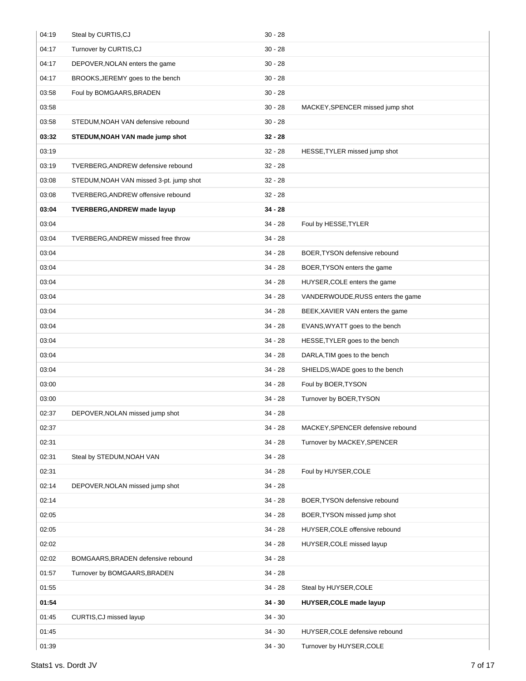| 04:19 | Steal by CURTIS, CJ                     | $30 - 28$ |                                   |
|-------|-----------------------------------------|-----------|-----------------------------------|
| 04:17 | Turnover by CURTIS, CJ                  | $30 - 28$ |                                   |
| 04:17 | DEPOVER, NOLAN enters the game          | $30 - 28$ |                                   |
| 04:17 | BROOKS, JEREMY goes to the bench        | $30 - 28$ |                                   |
| 03:58 | Foul by BOMGAARS, BRADEN                | $30 - 28$ |                                   |
| 03:58 |                                         | $30 - 28$ | MACKEY, SPENCER missed jump shot  |
| 03:58 | STEDUM, NOAH VAN defensive rebound      | $30 - 28$ |                                   |
| 03:32 | STEDUM, NOAH VAN made jump shot         | $32 - 28$ |                                   |
| 03:19 |                                         | $32 - 28$ | HESSE, TYLER missed jump shot     |
| 03:19 | TVERBERG, ANDREW defensive rebound      | $32 - 28$ |                                   |
| 03:08 | STEDUM, NOAH VAN missed 3-pt. jump shot | $32 - 28$ |                                   |
| 03:08 | TVERBERG, ANDREW offensive rebound      | $32 - 28$ |                                   |
| 03:04 | <b>TVERBERG, ANDREW made layup</b>      | $34 - 28$ |                                   |
| 03:04 |                                         | $34 - 28$ | Foul by HESSE, TYLER              |
| 03:04 | TVERBERG, ANDREW missed free throw      | $34 - 28$ |                                   |
| 03:04 |                                         | $34 - 28$ | BOER, TYSON defensive rebound     |
| 03:04 |                                         | $34 - 28$ | BOER, TYSON enters the game       |
| 03:04 |                                         | $34 - 28$ | HUYSER, COLE enters the game      |
| 03:04 |                                         | $34 - 28$ | VANDERWOUDE, RUSS enters the game |
| 03:04 |                                         | $34 - 28$ | BEEK, XAVIER VAN enters the game  |
| 03:04 |                                         | $34 - 28$ | EVANS, WYATT goes to the bench    |
| 03:04 |                                         | $34 - 28$ | HESSE, TYLER goes to the bench    |
| 03:04 |                                         | $34 - 28$ | DARLA, TIM goes to the bench      |
| 03:04 |                                         | $34 - 28$ | SHIELDS, WADE goes to the bench   |
| 03:00 |                                         | $34 - 28$ | Foul by BOER, TYSON               |
| 03:00 |                                         | $34 - 28$ | Turnover by BOER, TYSON           |
| 02:37 | DEPOVER, NOLAN missed jump shot         | 34 - 28   |                                   |
| 02:37 |                                         | $34 - 28$ | MACKEY, SPENCER defensive rebound |
| 02:31 |                                         | $34 - 28$ | Turnover by MACKEY, SPENCER       |
| 02:31 | Steal by STEDUM, NOAH VAN               | $34 - 28$ |                                   |
| 02:31 |                                         | $34 - 28$ | Foul by HUYSER, COLE              |
| 02:14 | DEPOVER, NOLAN missed jump shot         | $34 - 28$ |                                   |
| 02:14 |                                         | $34 - 28$ | BOER, TYSON defensive rebound     |
| 02:05 |                                         | $34 - 28$ | BOER, TYSON missed jump shot      |
| 02:05 |                                         | $34 - 28$ | HUYSER, COLE offensive rebound    |
| 02:02 |                                         | $34 - 28$ | HUYSER, COLE missed layup         |
| 02:02 | BOMGAARS, BRADEN defensive rebound      | $34 - 28$ |                                   |
| 01:57 | Turnover by BOMGAARS, BRADEN            | $34 - 28$ |                                   |
| 01:55 |                                         | $34 - 28$ | Steal by HUYSER, COLE             |
| 01:54 |                                         | $34 - 30$ | <b>HUYSER, COLE made layup</b>    |
| 01:45 | CURTIS, CJ missed layup                 | $34 - 30$ |                                   |
| 01:45 |                                         | $34 - 30$ | HUYSER, COLE defensive rebound    |
| 01:39 |                                         | $34 - 30$ | Turnover by HUYSER, COLE          |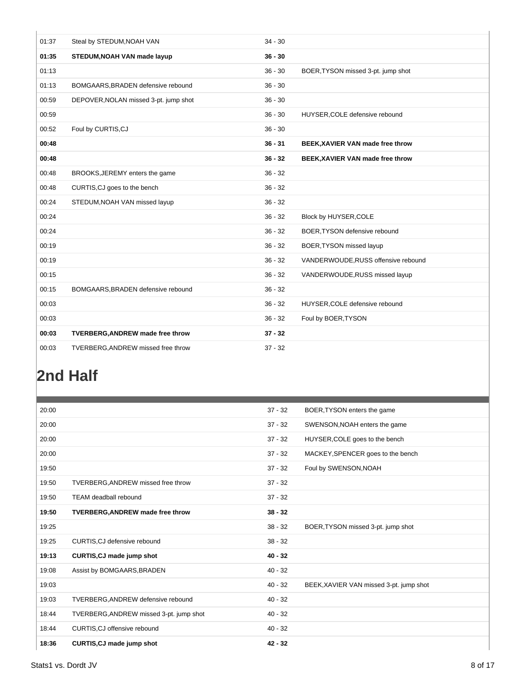| 01:37 | Steal by STEDUM, NOAH VAN               | $34 - 30$ |                                     |
|-------|-----------------------------------------|-----------|-------------------------------------|
| 01:35 | STEDUM, NOAH VAN made layup             | $36 - 30$ |                                     |
| 01:13 |                                         | $36 - 30$ | BOER, TYSON missed 3-pt. jump shot  |
| 01:13 | BOMGAARS, BRADEN defensive rebound      | $36 - 30$ |                                     |
| 00:59 | DEPOVER, NOLAN missed 3-pt. jump shot   | $36 - 30$ |                                     |
| 00:59 |                                         | $36 - 30$ | HUYSER, COLE defensive rebound      |
| 00:52 | Foul by CURTIS, CJ                      | $36 - 30$ |                                     |
| 00:48 |                                         | $36 - 31$ | BEEK, XAVIER VAN made free throw    |
| 00:48 |                                         | $36 - 32$ | BEEK, XAVIER VAN made free throw    |
| 00:48 | BROOKS, JEREMY enters the game          | $36 - 32$ |                                     |
| 00:48 | CURTIS, CJ goes to the bench            | $36 - 32$ |                                     |
| 00:24 | STEDUM, NOAH VAN missed layup           | $36 - 32$ |                                     |
| 00:24 |                                         | $36 - 32$ | Block by HUYSER, COLE               |
| 00:24 |                                         | $36 - 32$ | BOER, TYSON defensive rebound       |
| 00:19 |                                         | $36 - 32$ | BOER, TYSON missed layup            |
| 00:19 |                                         | $36 - 32$ | VANDERWOUDE, RUSS offensive rebound |
| 00:15 |                                         | $36 - 32$ | VANDERWOUDE, RUSS missed layup      |
| 00:15 | BOMGAARS, BRADEN defensive rebound      | $36 - 32$ |                                     |
| 00:03 |                                         | $36 - 32$ | HUYSER, COLE defensive rebound      |
| 00:03 |                                         | $36 - 32$ | Foul by BOER, TYSON                 |
| 00:03 | <b>TVERBERG, ANDREW made free throw</b> | $37 - 32$ |                                     |
| 00:03 | TVERBERG, ANDREW missed free throw      | $37 - 32$ |                                     |

# **2nd Half**

| 20:00 |                                         | $37 - 32$ | BOER, TYSON enters the game             |
|-------|-----------------------------------------|-----------|-----------------------------------------|
| 20:00 |                                         | $37 - 32$ | SWENSON, NOAH enters the game           |
| 20:00 |                                         | $37 - 32$ | HUYSER, COLE goes to the bench          |
| 20:00 |                                         | $37 - 32$ | MACKEY, SPENCER goes to the bench       |
| 19:50 |                                         | $37 - 32$ | Foul by SWENSON, NOAH                   |
| 19:50 | TVERBERG, ANDREW missed free throw      | $37 - 32$ |                                         |
| 19:50 | <b>TEAM deadball rebound</b>            | $37 - 32$ |                                         |
| 19:50 | <b>TVERBERG, ANDREW made free throw</b> | $38 - 32$ |                                         |
| 19:25 |                                         | $38 - 32$ | BOER, TYSON missed 3-pt. jump shot      |
| 19:25 | CURTIS, CJ defensive rebound            | $38 - 32$ |                                         |
| 19:13 | <b>CURTIS, CJ made jump shot</b>        | $40 - 32$ |                                         |
| 19:08 | Assist by BOMGAARS, BRADEN              | $40 - 32$ |                                         |
| 19:03 |                                         | $40 - 32$ | BEEK, XAVIER VAN missed 3-pt. jump shot |
| 19:03 | TVERBERG, ANDREW defensive rebound      | $40 - 32$ |                                         |
| 18:44 | TVERBERG, ANDREW missed 3-pt. jump shot | $40 - 32$ |                                         |
| 18:44 | CURTIS, CJ offensive rebound            | $40 - 32$ |                                         |
| 18:36 | CURTIS, CJ made jump shot               | $42 - 32$ |                                         |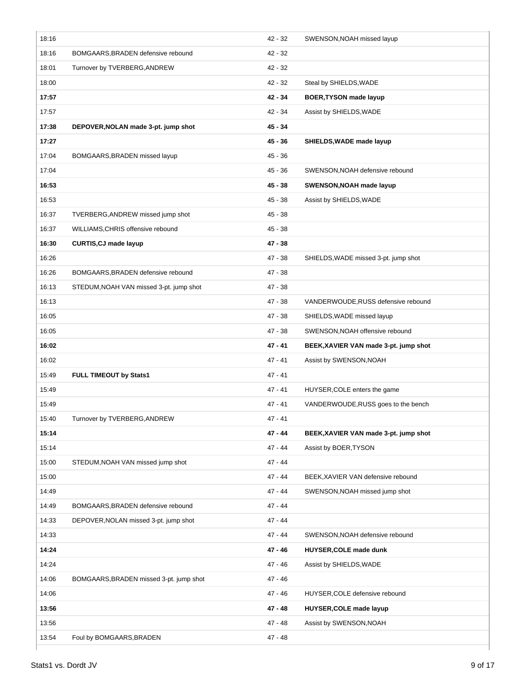| 18:16 |                                         | 42 - 32   | SWENSON, NOAH missed layup            |
|-------|-----------------------------------------|-----------|---------------------------------------|
| 18:16 | BOMGAARS, BRADEN defensive rebound      | $42 - 32$ |                                       |
| 18:01 | Turnover by TVERBERG, ANDREW            | $42 - 32$ |                                       |
| 18:00 |                                         | 42 - 32   | Steal by SHIELDS, WADE                |
| 17:57 |                                         | 42 - 34   | <b>BOER, TYSON made layup</b>         |
| 17:57 |                                         | 42 - 34   | Assist by SHIELDS, WADE               |
| 17:38 | DEPOVER, NOLAN made 3-pt. jump shot     | 45 - 34   |                                       |
| 17:27 |                                         | $45 - 36$ | SHIELDS, WADE made layup              |
| 17:04 | BOMGAARS, BRADEN missed layup           | 45 - 36   |                                       |
| 17:04 |                                         | 45 - 36   | SWENSON, NOAH defensive rebound       |
| 16:53 |                                         | 45 - 38   | SWENSON, NOAH made layup              |
| 16:53 |                                         | $45 - 38$ | Assist by SHIELDS, WADE               |
| 16:37 | TVERBERG, ANDREW missed jump shot       | 45 - 38   |                                       |
| 16:37 | WILLIAMS, CHRIS offensive rebound       | 45 - 38   |                                       |
| 16:30 | <b>CURTIS, CJ made layup</b>            | $47 - 38$ |                                       |
| 16:26 |                                         | $47 - 38$ | SHIELDS, WADE missed 3-pt. jump shot  |
| 16:26 | BOMGAARS, BRADEN defensive rebound      | 47 - 38   |                                       |
| 16:13 | STEDUM, NOAH VAN missed 3-pt. jump shot | $47 - 38$ |                                       |
| 16:13 |                                         | 47 - 38   | VANDERWOUDE, RUSS defensive rebound   |
| 16:05 |                                         | $47 - 38$ | SHIELDS, WADE missed layup            |
| 16:05 |                                         | 47 - 38   | SWENSON, NOAH offensive rebound       |
| 16:02 |                                         | 47 - 41   | BEEK, XAVIER VAN made 3-pt. jump shot |
|       |                                         |           |                                       |
| 16:02 |                                         | 47 - 41   | Assist by SWENSON, NOAH               |
| 15:49 | FULL TIMEOUT by Stats1                  | $47 - 41$ |                                       |
| 15:49 |                                         | 47 - 41   | HUYSER, COLE enters the game          |
| 15:49 |                                         | 47 - 41   | VANDERWOUDE, RUSS goes to the bench   |
| 15:40 | Turnover by TVERBERG, ANDREW            | 47 - 41   |                                       |
| 15:14 |                                         | 47 - 44   | BEEK, XAVIER VAN made 3-pt. jump shot |
| 15:14 |                                         | 47 - 44   | Assist by BOER, TYSON                 |
| 15:00 | STEDUM, NOAH VAN missed jump shot       | $47 - 44$ |                                       |
| 15:00 |                                         | 47 - 44   | BEEK, XAVIER VAN defensive rebound    |
| 14:49 |                                         | 47 - 44   | SWENSON, NOAH missed jump shot        |
| 14:49 | BOMGAARS, BRADEN defensive rebound      | 47 - 44   |                                       |
| 14:33 | DEPOVER, NOLAN missed 3-pt. jump shot   | 47 - 44   |                                       |
| 14:33 |                                         | 47 - 44   | SWENSON, NOAH defensive rebound       |
| 14:24 |                                         | 47 - 46   | HUYSER, COLE made dunk                |
| 14:24 |                                         | 47 - 46   | Assist by SHIELDS, WADE               |
| 14:06 | BOMGAARS, BRADEN missed 3-pt. jump shot | 47 - 46   |                                       |
| 14:06 |                                         | 47 - 46   | HUYSER, COLE defensive rebound        |
| 13:56 |                                         | 47 - 48   | <b>HUYSER, COLE made layup</b>        |
| 13:56 |                                         | 47 - 48   | Assist by SWENSON, NOAH               |
| 13:54 | Foul by BOMGAARS, BRADEN                | 47 - 48   |                                       |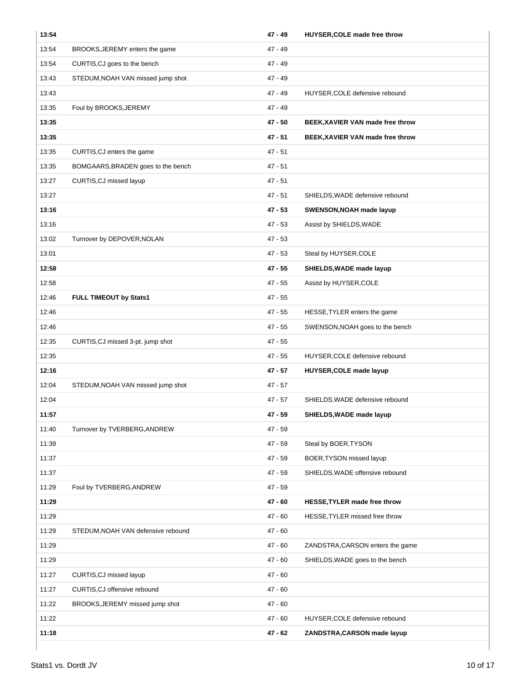| 13:54 |                                    | 47 - 49   | HUYSER, COLE made free throw     |
|-------|------------------------------------|-----------|----------------------------------|
| 13:54 | BROOKS, JEREMY enters the game     | $47 - 49$ |                                  |
| 13:54 | CURTIS, CJ goes to the bench       | 47 - 49   |                                  |
| 13:43 | STEDUM, NOAH VAN missed jump shot  | 47 - 49   |                                  |
| 13:43 |                                    | 47 - 49   | HUYSER, COLE defensive rebound   |
| 13:35 | Foul by BROOKS, JEREMY             | 47 - 49   |                                  |
| 13:35 |                                    | 47 - 50   | BEEK, XAVIER VAN made free throw |
| 13:35 |                                    | 47 - 51   | BEEK, XAVIER VAN made free throw |
| 13:35 | CURTIS, CJ enters the game         | $47 - 51$ |                                  |
| 13:35 | BOMGAARS, BRADEN goes to the bench | $47 - 51$ |                                  |
| 13:27 | CURTIS, CJ missed layup            | $47 - 51$ |                                  |
| 13:27 |                                    | $47 - 51$ | SHIELDS, WADE defensive rebound  |
| 13:16 |                                    | 47 - 53   | SWENSON, NOAH made layup         |
| 13:16 |                                    | 47 - 53   | Assist by SHIELDS, WADE          |
| 13:02 | Turnover by DEPOVER, NOLAN         | 47 - 53   |                                  |
| 13:01 |                                    | $47 - 53$ | Steal by HUYSER, COLE            |
| 12:58 |                                    | 47 - 55   | SHIELDS, WADE made layup         |
| 12:58 |                                    | 47 - 55   | Assist by HUYSER, COLE           |
| 12:46 | <b>FULL TIMEOUT by Stats1</b>      | 47 - 55   |                                  |
| 12:46 |                                    | 47 - 55   | HESSE, TYLER enters the game     |
| 12:46 |                                    | 47 - 55   | SWENSON, NOAH goes to the bench  |
| 12:35 | CURTIS, CJ missed 3-pt. jump shot  | $47 - 55$ |                                  |
| 12:35 |                                    | 47 - 55   | HUYSER, COLE defensive rebound   |
| 12:16 |                                    | 47 - 57   | HUYSER, COLE made layup          |
| 12:04 | STEDUM, NOAH VAN missed jump shot  | $47 - 57$ |                                  |
| 12:04 |                                    | $47 - 57$ | SHIELDS, WADE defensive rebound  |
| 11:57 |                                    | 47 - 59   | SHIELDS, WADE made layup         |
| 11:40 | Turnover by TVERBERG, ANDREW       | 47 - 59   |                                  |
| 11:39 |                                    | 47 - 59   | Steal by BOER, TYSON             |
| 11:37 |                                    | 47 - 59   | BOER, TYSON missed layup         |
| 11:37 |                                    | 47 - 59   | SHIELDS, WADE offensive rebound  |
| 11:29 | Foul by TVERBERG, ANDREW           | 47 - 59   |                                  |
| 11:29 |                                    | $47 - 60$ | HESSE, TYLER made free throw     |
| 11:29 |                                    | $47 - 60$ | HESSE, TYLER missed free throw   |
| 11:29 | STEDUM, NOAH VAN defensive rebound | $47 - 60$ |                                  |
| 11:29 |                                    | $47 - 60$ | ZANDSTRA, CARSON enters the game |
| 11:29 |                                    | 47 - 60   | SHIELDS, WADE goes to the bench  |
| 11:27 | CURTIS, CJ missed layup            | $47 - 60$ |                                  |
| 11:27 | CURTIS, CJ offensive rebound       | $47 - 60$ |                                  |
| 11:22 | BROOKS, JEREMY missed jump shot    | $47 - 60$ |                                  |
| 11:22 |                                    | $47 - 60$ | HUYSER, COLE defensive rebound   |
| 11:18 |                                    | 47 - 62   | ZANDSTRA, CARSON made layup      |
|       |                                    |           |                                  |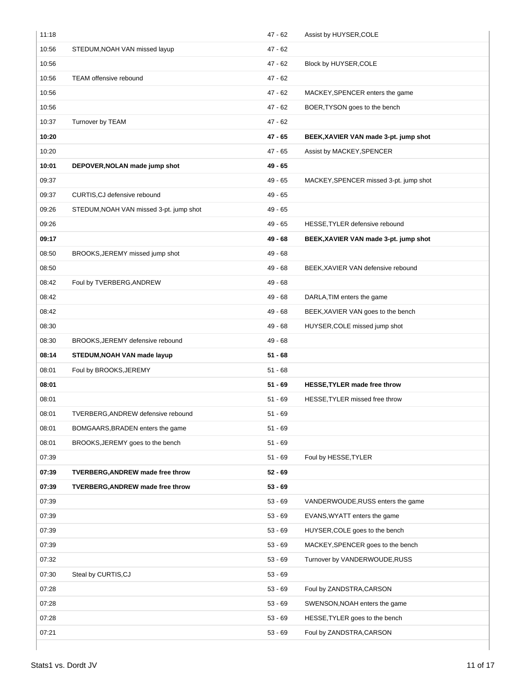| 11:18 |                                         | $47 - 62$ | Assist by HUYSER, COLE                 |
|-------|-----------------------------------------|-----------|----------------------------------------|
| 10:56 | STEDUM, NOAH VAN missed layup           | $47 - 62$ |                                        |
| 10:56 |                                         | 47 - 62   | Block by HUYSER, COLE                  |
| 10:56 | <b>TEAM offensive rebound</b>           | $47 - 62$ |                                        |
| 10:56 |                                         | $47 - 62$ | MACKEY, SPENCER enters the game        |
| 10:56 |                                         | $47 - 62$ | BOER, TYSON goes to the bench          |
| 10:37 | Turnover by TEAM                        | 47 - 62   |                                        |
| 10:20 |                                         | 47 - 65   | BEEK, XAVIER VAN made 3-pt. jump shot  |
| 10:20 |                                         | 47 - 65   | Assist by MACKEY, SPENCER              |
| 10:01 | DEPOVER, NOLAN made jump shot           | 49 - 65   |                                        |
| 09:37 |                                         | 49 - 65   | MACKEY, SPENCER missed 3-pt. jump shot |
| 09:37 | CURTIS, CJ defensive rebound            | 49 - 65   |                                        |
| 09:26 | STEDUM, NOAH VAN missed 3-pt. jump shot | 49 - 65   |                                        |
| 09:26 |                                         | 49 - 65   | HESSE, TYLER defensive rebound         |
| 09:17 |                                         | 49 - 68   | BEEK, XAVIER VAN made 3-pt. jump shot  |
| 08:50 | BROOKS, JEREMY missed jump shot         | $49 - 68$ |                                        |
| 08:50 |                                         | 49 - 68   | BEEK, XAVIER VAN defensive rebound     |
| 08:42 | Foul by TVERBERG, ANDREW                | 49 - 68   |                                        |
| 08:42 |                                         | 49 - 68   | DARLA, TIM enters the game             |
| 08:42 |                                         | 49 - 68   | BEEK, XAVIER VAN goes to the bench     |
| 08:30 |                                         | 49 - 68   | HUYSER, COLE missed jump shot          |
| 08:30 | BROOKS, JEREMY defensive rebound        | 49 - 68   |                                        |
| 08:14 | STEDUM, NOAH VAN made layup             | $51 - 68$ |                                        |
| 08:01 | Foul by BROOKS, JEREMY                  | $51 - 68$ |                                        |
| 08:01 |                                         | $51 - 69$ | HESSE, TYLER made free throw           |
| 08:01 |                                         | $51 - 69$ | HESSE, TYLER missed free throw         |
| 08:01 | TVERBERG, ANDREW defensive rebound      | 51 - 69   |                                        |
| 08:01 | BOMGAARS, BRADEN enters the game        | 51 - 69   |                                        |
| 08:01 | BROOKS, JEREMY goes to the bench        | $51 - 69$ |                                        |
| 07:39 |                                         | $51 - 69$ | Foul by HESSE, TYLER                   |
| 07:39 | TVERBERG, ANDREW made free throw        | $52 - 69$ |                                        |
| 07:39 | TVERBERG, ANDREW made free throw        | $53 - 69$ |                                        |
| 07:39 |                                         | $53 - 69$ | VANDERWOUDE, RUSS enters the game      |
| 07:39 |                                         | $53 - 69$ | EVANS, WYATT enters the game           |
| 07:39 |                                         | $53 - 69$ | HUYSER, COLE goes to the bench         |
| 07:39 |                                         | $53 - 69$ | MACKEY, SPENCER goes to the bench      |
| 07:32 |                                         | $53 - 69$ | Turnover by VANDERWOUDE, RUSS          |
| 07:30 | Steal by CURTIS, CJ                     | $53 - 69$ |                                        |
| 07:28 |                                         | $53 - 69$ | Foul by ZANDSTRA, CARSON               |
| 07:28 |                                         | $53 - 69$ | SWENSON, NOAH enters the game          |
| 07:28 |                                         | $53 - 69$ | HESSE, TYLER goes to the bench         |
| 07:21 |                                         | $53 - 69$ | Foul by ZANDSTRA, CARSON               |
|       |                                         |           |                                        |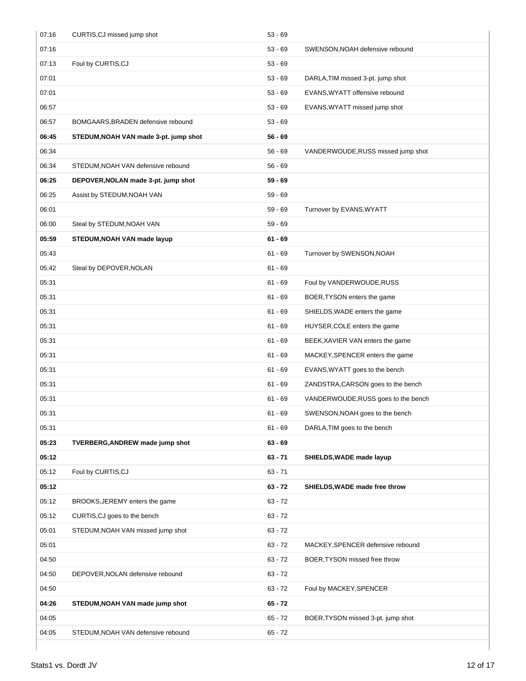| 07:16 | CURTIS, CJ missed jump shot           | $53 - 69$ |                                     |
|-------|---------------------------------------|-----------|-------------------------------------|
| 07:16 |                                       | $53 - 69$ | SWENSON, NOAH defensive rebound     |
| 07:13 | Foul by CURTIS, CJ                    | $53 - 69$ |                                     |
| 07:01 |                                       | $53 - 69$ | DARLA, TIM missed 3-pt. jump shot   |
| 07:01 |                                       | $53 - 69$ | EVANS, WYATT offensive rebound      |
| 06:57 |                                       | $53 - 69$ | EVANS, WYATT missed jump shot       |
| 06:57 | BOMGAARS, BRADEN defensive rebound    | $53 - 69$ |                                     |
| 06:45 | STEDUM, NOAH VAN made 3-pt. jump shot | $56 - 69$ |                                     |
| 06:34 |                                       | $56 - 69$ | VANDERWOUDE, RUSS missed jump shot  |
| 06:34 | STEDUM, NOAH VAN defensive rebound    | $56 - 69$ |                                     |
| 06:25 | DEPOVER, NOLAN made 3-pt. jump shot   | $59 - 69$ |                                     |
| 06:25 | Assist by STEDUM, NOAH VAN            | $59 - 69$ |                                     |
| 06:01 |                                       | $59 - 69$ | Turnover by EVANS, WYATT            |
| 06:00 | Steal by STEDUM, NOAH VAN             | $59 - 69$ |                                     |
| 05:59 | STEDUM, NOAH VAN made layup           | $61 - 69$ |                                     |
| 05:43 |                                       | $61 - 69$ | Turnover by SWENSON, NOAH           |
| 05:42 | Steal by DEPOVER, NOLAN               | $61 - 69$ |                                     |
| 05:31 |                                       | $61 - 69$ | Foul by VANDERWOUDE, RUSS           |
| 05:31 |                                       | $61 - 69$ | BOER, TYSON enters the game         |
| 05:31 |                                       | $61 - 69$ | SHIELDS, WADE enters the game       |
| 05:31 |                                       | $61 - 69$ | HUYSER, COLE enters the game        |
| 05:31 |                                       | $61 - 69$ | BEEK, XAVIER VAN enters the game    |
| 05:31 |                                       | $61 - 69$ | MACKEY, SPENCER enters the game     |
| 05:31 |                                       | $61 - 69$ | EVANS, WYATT goes to the bench      |
| 05:31 |                                       | $61 - 69$ | ZANDSTRA, CARSON goes to the bench  |
| 05:31 |                                       | $61 - 69$ | VANDERWOUDE, RUSS goes to the bench |
| 05:31 |                                       | $61 - 69$ | SWENSON, NOAH goes to the bench     |
| 05:31 |                                       | $61 - 69$ | DARLA, TIM goes to the bench        |
| 05:23 | TVERBERG, ANDREW made jump shot       | $63 - 69$ |                                     |
| 05:12 |                                       | $63 - 71$ | SHIELDS, WADE made layup            |
| 05:12 | Foul by CURTIS, CJ                    | $63 - 71$ |                                     |
| 05:12 |                                       | $63 - 72$ | SHIELDS, WADE made free throw       |
| 05:12 | BROOKS, JEREMY enters the game        | $63 - 72$ |                                     |
| 05:12 | CURTIS, CJ goes to the bench          | $63 - 72$ |                                     |
| 05:01 | STEDUM, NOAH VAN missed jump shot     | $63 - 72$ |                                     |
| 05:01 |                                       | $63 - 72$ | MACKEY, SPENCER defensive rebound   |
| 04:50 |                                       | $63 - 72$ | BOER, TYSON missed free throw       |
| 04:50 | DEPOVER, NOLAN defensive rebound      | $63 - 72$ |                                     |
| 04:50 |                                       | $63 - 72$ | Foul by MACKEY, SPENCER             |
| 04:26 | STEDUM, NOAH VAN made jump shot       | $65 - 72$ |                                     |
| 04:05 |                                       | $65 - 72$ | BOER, TYSON missed 3-pt. jump shot  |
| 04:05 | STEDUM, NOAH VAN defensive rebound    | $65 - 72$ |                                     |
|       |                                       |           |                                     |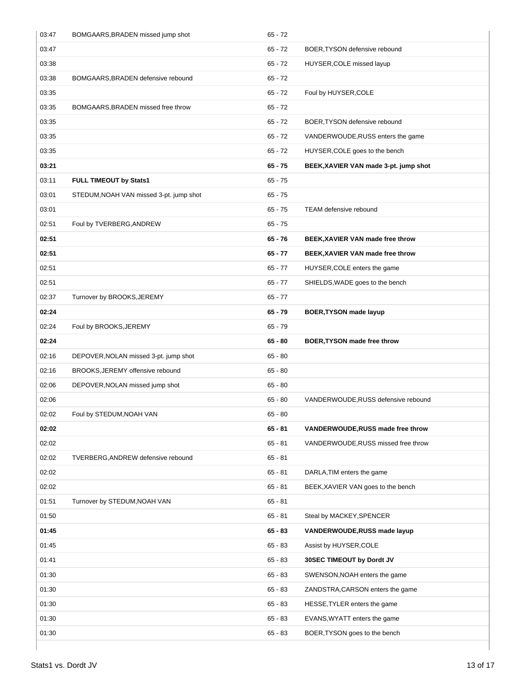| 03:47 | BOMGAARS, BRADEN missed jump shot       | $65 - 72$ |                                       |
|-------|-----------------------------------------|-----------|---------------------------------------|
| 03:47 |                                         | $65 - 72$ | BOER, TYSON defensive rebound         |
| 03:38 |                                         | $65 - 72$ | HUYSER, COLE missed layup             |
| 03:38 | BOMGAARS, BRADEN defensive rebound      | $65 - 72$ |                                       |
| 03:35 |                                         | $65 - 72$ | Foul by HUYSER, COLE                  |
| 03:35 | BOMGAARS, BRADEN missed free throw      | $65 - 72$ |                                       |
| 03:35 |                                         | $65 - 72$ | BOER, TYSON defensive rebound         |
| 03:35 |                                         | $65 - 72$ | VANDERWOUDE, RUSS enters the game     |
| 03:35 |                                         | $65 - 72$ | HUYSER, COLE goes to the bench        |
| 03:21 |                                         | $65 - 75$ | BEEK, XAVIER VAN made 3-pt. jump shot |
| 03:11 | <b>FULL TIMEOUT by Stats1</b>           | $65 - 75$ |                                       |
| 03:01 | STEDUM, NOAH VAN missed 3-pt. jump shot | $65 - 75$ |                                       |
| 03:01 |                                         | $65 - 75$ | <b>TEAM</b> defensive rebound         |
| 02:51 | Foul by TVERBERG, ANDREW                | $65 - 75$ |                                       |
| 02:51 |                                         | $65 - 76$ | BEEK, XAVIER VAN made free throw      |
| 02:51 |                                         | $65 - 77$ | BEEK, XAVIER VAN made free throw      |
| 02:51 |                                         | $65 - 77$ | HUYSER, COLE enters the game          |
| 02:51 |                                         | $65 - 77$ | SHIELDS, WADE goes to the bench       |
| 02:37 | Turnover by BROOKS, JEREMY              | $65 - 77$ |                                       |
| 02:24 |                                         | $65 - 79$ | <b>BOER, TYSON made layup</b>         |
| 02:24 | Foul by BROOKS, JEREMY                  | $65 - 79$ |                                       |
| 02:24 |                                         | $65 - 80$ | BOER, TYSON made free throw           |
| 02:16 | DEPOVER, NOLAN missed 3-pt. jump shot   | $65 - 80$ |                                       |
| 02:16 | BROOKS, JEREMY offensive rebound        | $65 - 80$ |                                       |
| 02:06 | DEPOVER, NOLAN missed jump shot         | $65 - 80$ |                                       |
| 02:06 |                                         | $65 - 80$ | VANDERWOUDE, RUSS defensive rebound   |
| 02:02 | Foul by STEDUM, NOAH VAN                | $65 - 80$ |                                       |
| 02:02 |                                         | $65 - 81$ | VANDERWOUDE, RUSS made free throw     |
| 02:02 |                                         | $65 - 81$ | VANDERWOUDE, RUSS missed free throw   |
| 02:02 | TVERBERG, ANDREW defensive rebound      | $65 - 81$ |                                       |
| 02:02 |                                         | $65 - 81$ | DARLA, TIM enters the game            |
| 02:02 |                                         | $65 - 81$ | BEEK, XAVIER VAN goes to the bench    |
| 01:51 | Turnover by STEDUM, NOAH VAN            | $65 - 81$ |                                       |
| 01:50 |                                         | $65 - 81$ | Steal by MACKEY, SPENCER              |
| 01:45 |                                         | $65 - 83$ | VANDERWOUDE, RUSS made layup          |
| 01:45 |                                         | $65 - 83$ | Assist by HUYSER, COLE                |
| 01:41 |                                         | $65 - 83$ | 30SEC TIMEOUT by Dordt JV             |
| 01:30 |                                         | $65 - 83$ | SWENSON, NOAH enters the game         |
| 01:30 |                                         | $65 - 83$ | ZANDSTRA, CARSON enters the game      |
| 01:30 |                                         | $65 - 83$ | HESSE, TYLER enters the game          |
| 01:30 |                                         | $65 - 83$ | EVANS, WYATT enters the game          |
| 01:30 |                                         | $65 - 83$ | BOER, TYSON goes to the bench         |
|       |                                         |           |                                       |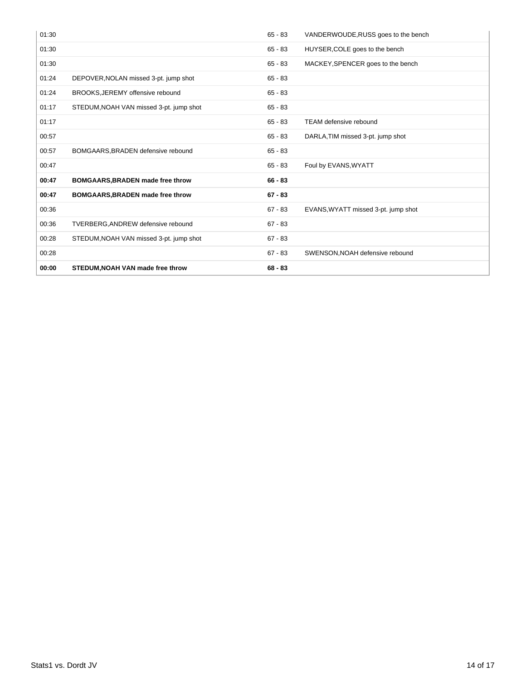| 01:30 |                                         | $65 - 83$ | VANDERWOUDE, RUSS goes to the bench |
|-------|-----------------------------------------|-----------|-------------------------------------|
| 01:30 |                                         | $65 - 83$ | HUYSER, COLE goes to the bench      |
| 01:30 |                                         | $65 - 83$ | MACKEY, SPENCER goes to the bench   |
| 01:24 | DEPOVER, NOLAN missed 3-pt. jump shot   | $65 - 83$ |                                     |
| 01:24 | BROOKS, JEREMY offensive rebound        | $65 - 83$ |                                     |
| 01:17 | STEDUM, NOAH VAN missed 3-pt. jump shot | $65 - 83$ |                                     |
| 01:17 |                                         | $65 - 83$ | TEAM defensive rebound              |
| 00:57 |                                         | $65 - 83$ | DARLA, TIM missed 3-pt. jump shot   |
| 00:57 | BOMGAARS, BRADEN defensive rebound      | $65 - 83$ |                                     |
| 00:47 |                                         | $65 - 83$ | Foul by EVANS, WYATT                |
| 00:47 | BOMGAARS, BRADEN made free throw        | $66 - 83$ |                                     |
| 00:47 | BOMGAARS, BRADEN made free throw        | $67 - 83$ |                                     |
| 00:36 |                                         | $67 - 83$ | EVANS, WYATT missed 3-pt. jump shot |
| 00:36 | TVERBERG, ANDREW defensive rebound      | $67 - 83$ |                                     |
| 00:28 | STEDUM, NOAH VAN missed 3-pt. jump shot | $67 - 83$ |                                     |
| 00:28 |                                         | $67 - 83$ | SWENSON, NOAH defensive rebound     |
| 00:00 | STEDUM, NOAH VAN made free throw        | $68 - 83$ |                                     |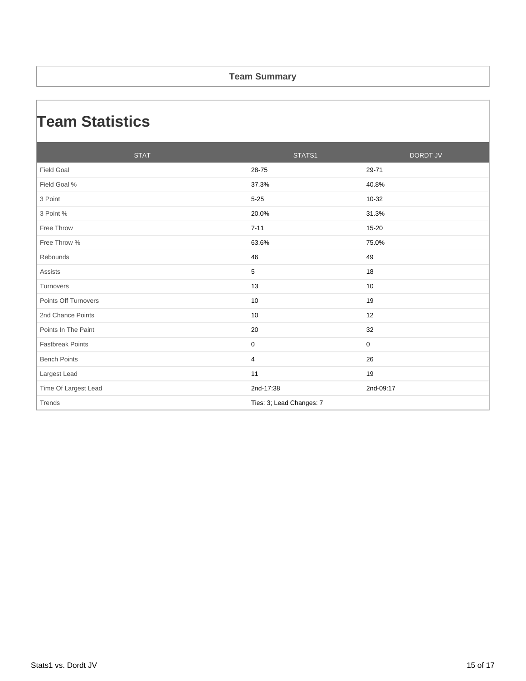#### **Team Summary**

## **Team Statistics**

| <b>STAT</b>             | STATS1                   | <b>DORDT JV</b> |
|-------------------------|--------------------------|-----------------|
| <b>Field Goal</b>       | 28-75                    | 29-71           |
| Field Goal %            | 37.3%                    | 40.8%           |
| 3 Point                 | $5 - 25$                 | 10-32           |
| 3 Point %               | 20.0%                    | 31.3%           |
| Free Throw              | $7 - 11$                 | 15-20           |
| Free Throw %            | 63.6%                    | 75.0%           |
| Rebounds                | 46                       | 49              |
| <b>Assists</b>          | 5                        | 18              |
| Turnovers               | 13                       | 10              |
| Points Off Turnovers    | 10                       | 19              |
| 2nd Chance Points       | 10                       | 12              |
| Points In The Paint     | 20                       | 32              |
| <b>Fastbreak Points</b> | $\mathbf 0$              | $\mathbf 0$     |
| <b>Bench Points</b>     | $\overline{4}$           | 26              |
| Largest Lead            | 11                       | 19              |
| Time Of Largest Lead    | 2nd-17:38                | 2nd-09:17       |
| Trends                  | Ties: 3; Lead Changes: 7 |                 |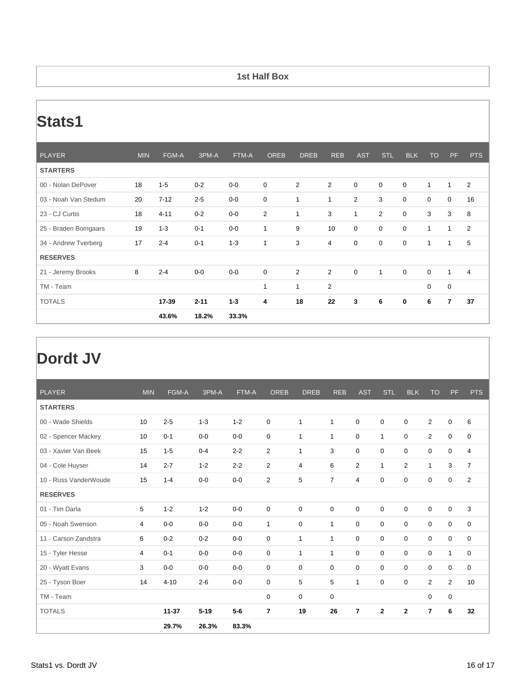#### **1st Half Box**

## **Stats1**

| <b>PLAYER</b>        | <b>MIN</b> | FGM-A    | 3PM-A    | FTM-A   | <b>OREB</b>  | <b>DREB</b>    | <b>REB</b>     | <b>AST</b>     | <b>STL</b>     | <b>BLK</b>  | <b>TO</b>   | <b>PF</b>   | <b>PTS</b>     |
|----------------------|------------|----------|----------|---------|--------------|----------------|----------------|----------------|----------------|-------------|-------------|-------------|----------------|
| <b>STARTERS</b>      |            |          |          |         |              |                |                |                |                |             |             |             |                |
| 00 - Nolan DePover   | 18         | $1 - 5$  | $0 - 2$  | $0-0$   | $\mathbf 0$  | $\overline{2}$ | $\overline{2}$ | $\mathbf 0$    | $\mathbf 0$    | $\mathbf 0$ | 1           | 1           | 2              |
| 03 - Noah Van Stedum | 20         | $7 - 12$ | $2 - 5$  | $0-0$   | $\mathbf 0$  | $\mathbf{1}$   | 1              | $\overline{2}$ | 3              | $\mathbf 0$ | $\mathbf 0$ | $\mathbf 0$ | 16             |
| 23 - CJ Curtis       | 18         | $4 - 11$ | $0 - 2$  | $0-0$   | 2            | 1              | 3              | $\mathbf{1}$   | $\overline{2}$ | $\mathbf 0$ | 3           | 3           | 8              |
| 25 - Braden Bomgaars | 19         | $1 - 3$  | $0 - 1$  | $0-0$   | 1            | 9              | 10             | $\mathbf 0$    | $\mathbf 0$    | $\mathbf 0$ | 1           | 1           | 2              |
| 34 - Andrew Tverberg | 17         | $2 - 4$  | $0 - 1$  | $1 - 3$ | 1            | 3              | 4              | $\mathbf 0$    | $\mathbf 0$    | $\mathbf 0$ | 1           | 1           | 5              |
| <b>RESERVES</b>      |            |          |          |         |              |                |                |                |                |             |             |             |                |
| 21 - Jeremy Brooks   | 8          | $2 - 4$  | $0-0$    | $0-0$   | $\mathbf 0$  | $\overline{2}$ | 2              | $\mathbf 0$    | $\mathbf{1}$   | $\mathbf 0$ | $\mathbf 0$ | 1           | $\overline{4}$ |
| TM - Team            |            |          |          |         | $\mathbf{1}$ | $\mathbf{1}$   | $\overline{2}$ |                |                |             | $\mathbf 0$ | 0           |                |
| <b>TOTALS</b>        |            | 17-39    | $2 - 11$ | $1 - 3$ | 4            | 18             | 22             | 3              | 6              | 0           | 6           | 7           | 37             |
|                      |            | 43.6%    | 18.2%    | 33.3%   |              |                |                |                |                |             |             |             |                |

# **Dordt JV**

| <b>PLAYER</b>         | <b>MIN</b> | <b>FGM-A</b> | 3PM-A    | FTM-A   | <b>OREB</b>    | <b>DREB</b>    | <b>REB</b>     | <b>AST</b>     | <b>STL</b>   | <b>BLK</b>     | <b>TO</b>      | PF             | <b>PTS</b>     |
|-----------------------|------------|--------------|----------|---------|----------------|----------------|----------------|----------------|--------------|----------------|----------------|----------------|----------------|
| <b>STARTERS</b>       |            |              |          |         |                |                |                |                |              |                |                |                |                |
| 00 - Wade Shields     | 10         | $2 - 5$      | $1 - 3$  | $1 - 2$ | $\mathbf 0$    | 1              | $\mathbf{1}$   | 0              | 0            | 0              | $\overline{2}$ | $\mathbf 0$    | 6              |
| 02 - Spencer Mackey   | 10         | $0 - 1$      | $0 - 0$  | $0 - 0$ | 0              | 1              | $\mathbf{1}$   | 0              | $\mathbf{1}$ | 0              | 2              | $\mathbf 0$    | 0              |
| 03 - Xavier Van Beek  | 15         | $1 - 5$      | $0 - 4$  | $2 - 2$ | 2              | $\mathbf{1}$   | 3              | $\mathbf 0$    | $\mathbf 0$  | $\mathbf 0$    | $\mathbf 0$    | $\mathbf 0$    | 4              |
| 04 - Cole Huyser      | 14         | $2 - 7$      | $1 - 2$  | $2 - 2$ | 2              | $\overline{4}$ | 6              | 2              | $\mathbf{1}$ | $\overline{2}$ | $\mathbf{1}$   | 3              | $\overline{7}$ |
| 10 - Russ VanderWoude | 15         | $1 - 4$      | $0-0$    | $0-0$   | 2              | 5              | $\overline{7}$ | 4              | 0            | 0              | 0              | 0              | 2              |
| <b>RESERVES</b>       |            |              |          |         |                |                |                |                |              |                |                |                |                |
| 01 - Tim Darla        | 5          | $1 - 2$      | $1 - 2$  | $0 - 0$ | 0              | $\mathbf 0$    | $\mathbf 0$    | $\mathbf 0$    | $\mathbf 0$  | $\mathbf 0$    | $\mathbf 0$    | $\mathbf 0$    | 3              |
| 05 - Noah Swenson     | 4          | $0-0$        | $0-0$    | $0-0$   | $\mathbf{1}$   | $\mathbf 0$    | $\mathbf{1}$   | $\mathbf 0$    | $\mathbf 0$  | $\mathbf 0$    | $\mathbf 0$    | $\mathbf 0$    | $\mathbf 0$    |
| 11 - Carson Zandstra  | 6          | $0 - 2$      | $0 - 2$  | $0 - 0$ | 0              | 1              | $\mathbf{1}$   | 0              | $\mathbf 0$  | 0              | 0              | $\mathbf 0$    | 0              |
| 15 - Tyler Hesse      | 4          | $0 - 1$      | $0 - 0$  | $0 - 0$ | 0              | $\mathbf{1}$   | $\mathbf{1}$   | $\mathbf 0$    | $\mathbf 0$  | $\mathbf 0$    | $\mathbf 0$    | $\mathbf{1}$   | $\mathbf 0$    |
| 20 - Wyatt Evans      | 3          | $0-0$        | $0 - 0$  | $0-0$   | 0              | $\mathbf 0$    | $\mathbf 0$    | $\Omega$       | $\mathbf 0$  | $\mathbf 0$    | 0              | 0              | 0              |
| 25 - Tyson Boer       | 14         | $4 - 10$     | $2 - 6$  | $0 - 0$ | $\mathbf 0$    | 5              | 5              | 1              | 0            | 0              | $\overline{2}$ | $\overline{2}$ | 10             |
| TM - Team             |            |              |          |         | 0              | $\mathbf 0$    | $\mathbf 0$    |                |              |                | $\mathbf 0$    | $\pmb{0}$      |                |
| <b>TOTALS</b>         |            | $11 - 37$    | $5 - 19$ | $5-6$   | $\overline{7}$ | 19             | 26             | $\overline{7}$ | $\mathbf{2}$ | $\mathbf{2}$   | $\overline{7}$ | 6              | 32             |
|                       |            | 29.7%        | 26.3%    | 83.3%   |                |                |                |                |              |                |                |                |                |